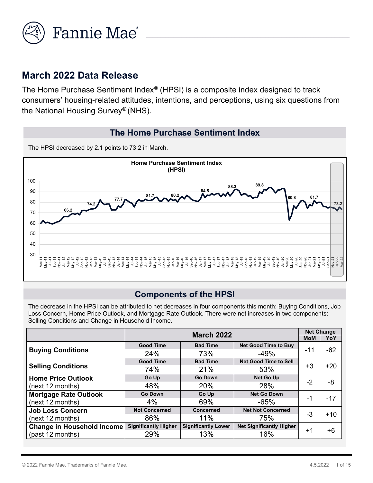

## **March 2022 Data Release**

The Home Purchase Sentiment Index*®* (HPSI) is a composite index designed to track consumers' housing-related attitudes, intentions, and perceptions, using six questions from the National Housing Survey*®* (NHS).

#### **The Home Purchase Sentiment Index**

The HPSI decreased by 2.1 points to 73.2 in March.



#### **Components of the HPSI**

Loss Concern, Home Price Outlook, and Mortgage Rate Outlook. There were net increases in two components: Selling Conditions and Change in Household Income.The decrease in the HPSI can be attributed to net decreases in four components this month: Buying Conditions, Job

|                                   | <b>March 2022</b>           |                            |                                 |      | <b>Net Change</b> |  |
|-----------------------------------|-----------------------------|----------------------------|---------------------------------|------|-------------------|--|
|                                   |                             |                            |                                 |      |                   |  |
|                                   | <b>Good Time</b>            | <b>Bad Time</b>            | <b>Net Good Time to Buy</b>     |      | $-62$             |  |
| <b>Buying Conditions</b>          | 24%                         | 73%                        | $-49%$                          | -11  |                   |  |
|                                   | <b>Good Time</b>            | <b>Bad Time</b>            | <b>Net Good Time to Sell</b>    |      |                   |  |
| <b>Selling Conditions</b>         | 74%                         | 21%                        | 53%                             | $+3$ | $+20$             |  |
| <b>Home Price Outlook</b>         | Go Up                       | <b>Go Down</b>             | <b>Net Go Up</b>                |      |                   |  |
| (next 12 months)                  | 48%                         | 20%                        | 28%                             | -2   | -8                |  |
| <b>Mortgage Rate Outlook</b>      | <b>Go Down</b>              | Go Up                      | <b>Net Go Down</b>              |      |                   |  |
| (next 12 months)                  | 4%                          | 69%                        | $-65%$                          | -1   | $-17$             |  |
| <b>Job Loss Concern</b>           | <b>Not Concerned</b>        | Concerned                  | <b>Net Not Concerned</b>        |      |                   |  |
| (next 12 months)                  | 86%                         | 11%                        | 75%                             | $-3$ | $+10$             |  |
| <b>Change in Household Income</b> | <b>Significantly Higher</b> | <b>Significantly Lower</b> | <b>Net Significantly Higher</b> |      |                   |  |
| (past 12 months)                  | 29%                         | 13%                        | 16%                             | $+1$ | +6                |  |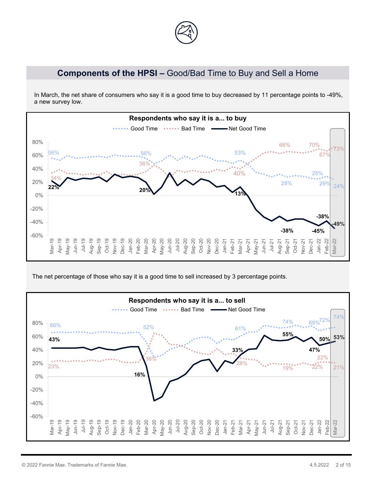

## **Components of the HPSI –** Good/Bad Time to Buy and Sell a Home

In March, the net share of consumers who say it is a good time to buy decreased by 11 percentage points to -49%, a new survey low.



The net percentage of those who say it is a good time to sell increased by 3 percentage points.

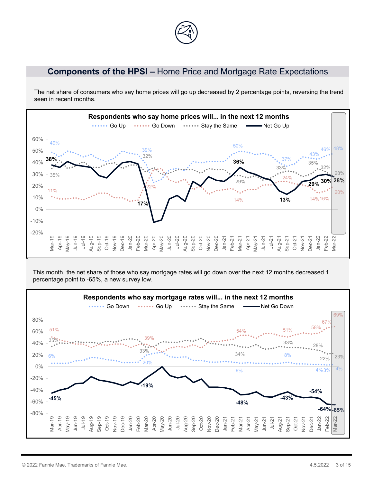#### **Components of the HPSI –** Home Price and Mortgage Rate Expectations

The net share of consumers who say home prices will go up decreased by 2 percentage points, reversing the trend seen in recent months.



This month, the net share of those who say mortgage rates will go down over the next 12 months decreased 1 percentage point to -65%, a new survey low.

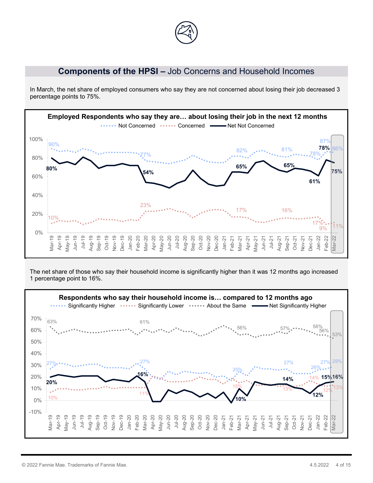

#### **Components of the HPSI –** Job Concerns and Household Incomes

In March, the net share of employed consumers who say they are not concerned about losing their job decreased 3 percentage points to 75%.



The net share of those who say their household income is significantly higher than it was 12 months ago increased 1 percentage point to 16%.

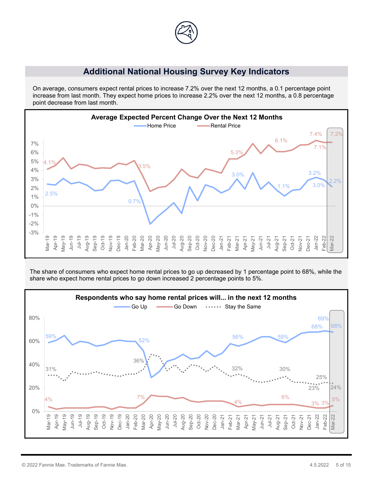

#### **Additional National Housing Survey Key Indicators**

On average, consumers expect rental prices to increase 7.2% over the next 12 months, a 0.1 percentage point increase from last month. They expect home prices to increase 2.2% over the next 12 months, a 0.8 percentage point decrease from last month.



The share of consumers who expect home rental prices to go up decreased by 1 percentage point to 68%, while the share who expect home rental prices to go down increased 2 percentage points to 5%.

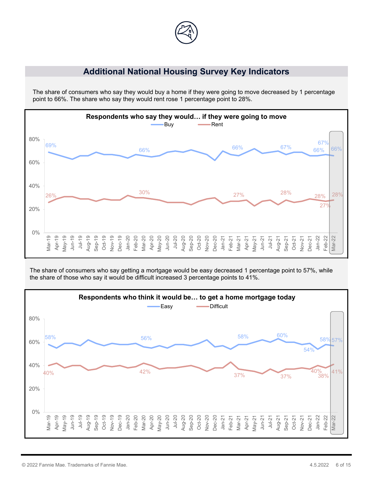

#### **Additional National Housing Survey Key Indicators**

The share of consumers who say they would buy a home if they were going to move decreased by 1 percentage point to 66%. The share who say they would rent rose 1 percentage point to 28%.



The share of consumers who say getting a mortgage would be easy decreased 1 percentage point to 57%, while the share of those who say it would be difficult increased 3 percentage points to 41%.

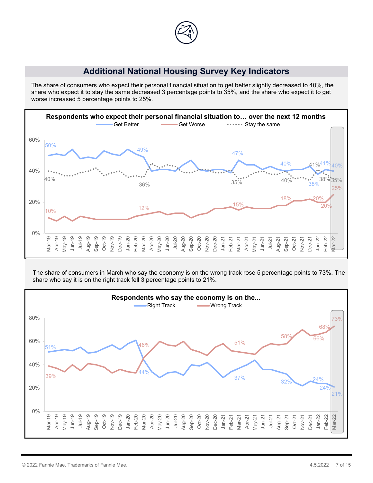

### **Additional National Housing Survey Key Indicators**

The share of consumers who expect their personal financial situation to get better slightly decreased to 40%, the share who expect it to stay the same decreased 3 percentage points to 35%, and the share who expect it to get worse increased 5 percentage points to 25%.



The share of consumers in March who say the economy is on the wrong track rose 5 percentage points to 73%. The share who say it is on the right track fell 3 percentage points to 21%.

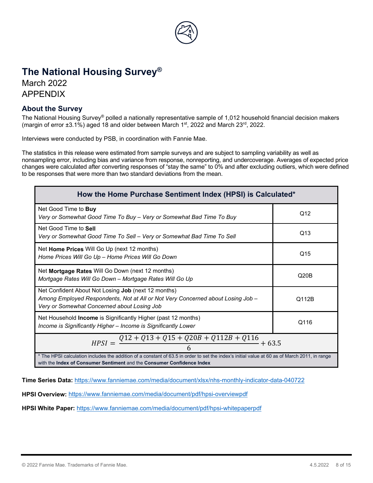

# **The National Housing Survey®**

March 2022 APPENDIX

#### **About the Survey**

The National Housing Survey® polled a nationally representative sample of 1,012 household financial decision makers (margin of error  $\pm 3.1\%$ ) aged 18 and older between March 1st, 2022 and March 23<sup>rd</sup>, 2022.

Interviews were conducted by PSB, in coordination with Fannie Mae.

The statistics in this release were estimated from sample surveys and are subject to sampling variability as well as nonsampling error, including bias and variance from response, nonreporting, and undercoverage. Averages of expected price changes were calculated after converting responses of "stay the same" to 0% and after excluding outliers, which were defined to be responses that were more than two standard deviations from the mean.

| How the Home Purchase Sentiment Index (HPSI) is Calculated*                                                                                                                                                                           |     |  |  |  |
|---------------------------------------------------------------------------------------------------------------------------------------------------------------------------------------------------------------------------------------|-----|--|--|--|
| Net Good Time to Buy<br>Very or Somewhat Good Time To Buy - Very or Somewhat Bad Time To Buy                                                                                                                                          | Q12 |  |  |  |
| Net Good Time to Sell<br>Very or Somewhat Good Time To Sell - Very or Somewhat Bad Time To Sell                                                                                                                                       | Q13 |  |  |  |
| Net Home Prices Will Go Up (next 12 months)<br>Q15<br>Home Prices Will Go Up - Home Prices Will Go Down                                                                                                                               |     |  |  |  |
| Net Mortgage Rates Will Go Down (next 12 months)<br>Q20B<br>Mortgage Rates Will Go Down - Mortgage Rates Will Go Up                                                                                                                   |     |  |  |  |
| Net Confident About Not Losing Job (next 12 months)<br>Among Employed Respondents, Not at All or Not Very Concerned about Losing Job -<br>Q112B<br>Very or Somewhat Concerned about Losing Job                                        |     |  |  |  |
| Net Household Income is Significantly Higher (past 12 months)<br>Q116<br>Income is Significantly Higher - Income is Significantly Lower                                                                                               |     |  |  |  |
| $HPSI = \frac{Q12 + Q13 + Q15 + Q20B + Q112B + Q116}{4} + 63.5$                                                                                                                                                                       |     |  |  |  |
| * The HPSI calculation includes the addition of a constant of 63.5 in order to set the index's initial value at 60 as of March 2011, in range<br>with the <b>Index of Consumer Sentiment</b> and the <b>Consumer Confidence Index</b> |     |  |  |  |

with the **Index of Consumer Sentiment** and the **Consumer Confidence Index**

**Time Series Data:** <https://www.fanniemae.com/media/document/xlsx/nhs-monthly-indicator-data-040722>

**HPSI Overview:** <https://www.fanniemae.com/media/document/pdf/hpsi-overviewpdf>

**HPSI White Paper:** <https://www.fanniemae.com/media/document/pdf/hpsi-whitepaperpdf>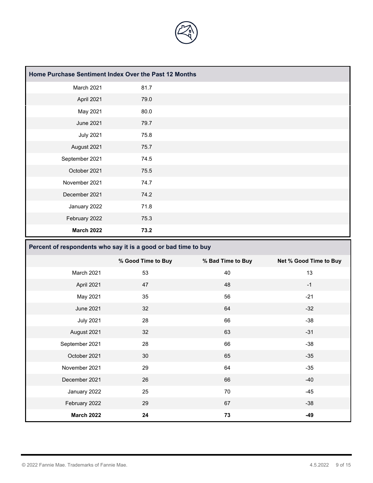

| Home Purchase Sentiment Index Over the Past 12 Months |      |  |  |  |  |
|-------------------------------------------------------|------|--|--|--|--|
| March 2021                                            | 81.7 |  |  |  |  |
| April 2021                                            | 79.0 |  |  |  |  |
| May 2021                                              | 80.0 |  |  |  |  |
| <b>June 2021</b>                                      | 79.7 |  |  |  |  |
| <b>July 2021</b>                                      | 75.8 |  |  |  |  |
| August 2021                                           | 75.7 |  |  |  |  |
| September 2021                                        | 74.5 |  |  |  |  |
| October 2021                                          | 75.5 |  |  |  |  |
| November 2021                                         | 74.7 |  |  |  |  |
| December 2021                                         | 74.2 |  |  |  |  |
| January 2022                                          | 71.8 |  |  |  |  |
| February 2022                                         | 75.3 |  |  |  |  |
| <b>March 2022</b>                                     | 73.2 |  |  |  |  |

## **Percent of respondents who say it is a good or bad time to buy**

|                   | % Good Time to Buy | % Bad Time to Buy | Net % Good Time to Buy |
|-------------------|--------------------|-------------------|------------------------|
| March 2021        | 53                 | 40                | 13                     |
| April 2021        | 47                 | 48                | $-1$                   |
| May 2021          | 35                 | 56                | $-21$                  |
| <b>June 2021</b>  | 32                 | 64                | $-32$                  |
| <b>July 2021</b>  | 28                 | 66                | $-38$                  |
| August 2021       | 32                 | 63                | $-31$                  |
| September 2021    | 28                 | 66                | $-38$                  |
| October 2021      | 30                 | 65                | $-35$                  |
| November 2021     | 29                 | 64                | $-35$                  |
| December 2021     | 26                 | 66                | $-40$                  |
| January 2022      | 25                 | 70                | $-45$                  |
| February 2022     | 29                 | 67                | $-38$                  |
| <b>March 2022</b> | 24                 | 73                | $-49$                  |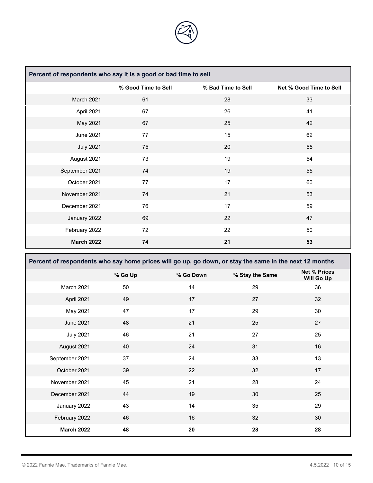

| Percent of respondents who say it is a good or bad time to sell |                     |                    |                         |  |  |
|-----------------------------------------------------------------|---------------------|--------------------|-------------------------|--|--|
|                                                                 | % Good Time to Sell | % Bad Time to Sell | Net % Good Time to Sell |  |  |
| March 2021                                                      | 61                  | 28                 | 33                      |  |  |
| April 2021                                                      | 67                  | 26                 | 41                      |  |  |
| May 2021                                                        | 67                  | 25                 | 42                      |  |  |
| <b>June 2021</b>                                                | 77                  | 15                 | 62                      |  |  |
| <b>July 2021</b>                                                | 75                  | 20                 | 55                      |  |  |
| August 2021                                                     | 73                  | 19                 | 54                      |  |  |
| September 2021                                                  | 74                  | 19                 | 55                      |  |  |
| October 2021                                                    | 77                  | 17                 | 60                      |  |  |
| November 2021                                                   | 74                  | 21                 | 53                      |  |  |
| December 2021                                                   | 76                  | 17                 | 59                      |  |  |
| January 2022                                                    | 69                  | 22                 | 47                      |  |  |
| February 2022                                                   | 72                  | 22                 | 50                      |  |  |
| <b>March 2022</b>                                               | 74                  | 21                 | 53                      |  |  |

**Percent of respondents who say home prices will go up, go down, or stay the same in the next 12 months**

|                   | % Go Up | % Go Down | % Stay the Same | <b>Net % Prices</b><br>Will Go Up |
|-------------------|---------|-----------|-----------------|-----------------------------------|
| March 2021        | 50      | 14        | 29              | 36                                |
| April 2021        | 49      | 17        | 27              | 32                                |
| May 2021          | 47      | 17        | 29              | 30                                |
| <b>June 2021</b>  | 48      | 21        | 25              | 27                                |
| <b>July 2021</b>  | 46      | 21        | 27              | 25                                |
| August 2021       | 40      | 24        | 31              | 16                                |
| September 2021    | 37      | 24        | 33              | 13                                |
| October 2021      | 39      | 22        | 32              | 17                                |
| November 2021     | 45      | 21        | 28              | 24                                |
| December 2021     | 44      | 19        | 30              | 25                                |
| January 2022      | 43      | 14        | 35              | 29                                |
| February 2022     | 46      | 16        | 32              | 30                                |
| <b>March 2022</b> | 48      | 20        | 28              | 28                                |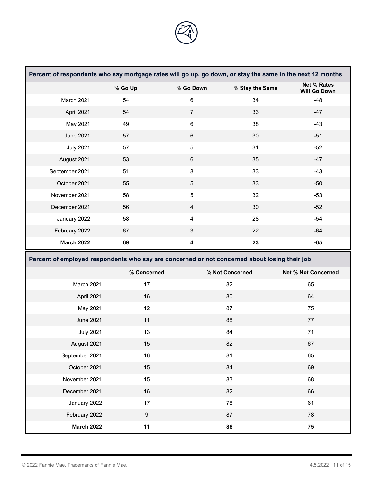

| Percent of respondents who say mortgage rates will go up, go down, or stay the same in the next 12 months |                  |                         |                 |                                           |
|-----------------------------------------------------------------------------------------------------------|------------------|-------------------------|-----------------|-------------------------------------------|
|                                                                                                           | % Go Up          | % Go Down               | % Stay the Same | <b>Net % Rates</b><br><b>Will Go Down</b> |
| March 2021                                                                                                | 54               | $\,6\,$                 | 34              | $-48$                                     |
| April 2021                                                                                                | 54               | $\boldsymbol{7}$        | 33              | $-47$                                     |
| May 2021                                                                                                  | 49               | $\,6\,$                 | 38              | $-43$                                     |
| <b>June 2021</b>                                                                                          | 57               | $\,6\,$                 | 30              | $-51$                                     |
| <b>July 2021</b>                                                                                          | 57               | $\mathbf 5$             | 31              | $-52$                                     |
| August 2021                                                                                               | 53               | $\,6\,$                 | 35              | $-47$                                     |
| September 2021                                                                                            | 51               | $\bf 8$                 | 33              | $-43$                                     |
| October 2021                                                                                              | 55               | $\sqrt{5}$              | 33              | $-50$                                     |
| November 2021                                                                                             | 58               | $\,$ 5 $\,$             | 32              | $-53$                                     |
| December 2021                                                                                             | 56               | $\overline{4}$          | 30              | $-52$                                     |
| January 2022                                                                                              | 58               | $\overline{4}$          | 28              | $-54$                                     |
| February 2022                                                                                             | 67               | $\sqrt{3}$              | 22              | $-64$                                     |
| <b>March 2022</b>                                                                                         | 69               | $\overline{\mathbf{4}}$ | 23              | $-65$                                     |
| Percent of employed respondents who say are concerned or not concerned about losing their job             |                  |                         |                 |                                           |
|                                                                                                           | % Concerned      |                         | % Not Concerned | <b>Net % Not Concerned</b>                |
| March 2021                                                                                                | 17               |                         | 82              | 65                                        |
| April 2021                                                                                                | 16               |                         | 80              | 64                                        |
| May 2021                                                                                                  | 12               |                         | 87              | 75                                        |
| <b>June 2021</b>                                                                                          | 11               |                         | 88              | 77                                        |
| <b>July 2021</b>                                                                                          | 13               |                         | 84              | 71                                        |
| August 2021                                                                                               | 15               |                         | 82              | 67                                        |
| September 2021                                                                                            | 16               |                         | 81              | 65                                        |
| October 2021                                                                                              | 15               |                         | 84              | 69                                        |
| November 2021                                                                                             | 15               |                         | 83              | 68                                        |
| December 2021                                                                                             | 16               |                         | 82              | 66                                        |
| January 2022                                                                                              | 17               |                         | 78              | 61                                        |
| February 2022                                                                                             |                  |                         | 87              | 78                                        |
|                                                                                                           | $\boldsymbol{9}$ |                         |                 |                                           |

 $\Box$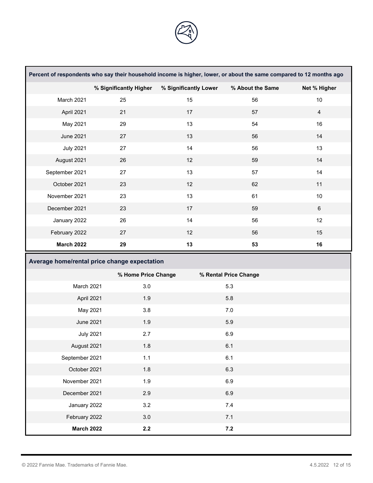

| Percent of respondents who say their household income is higher, lower, or about the same compared to 12 months ago |                        |                       |                       |                |
|---------------------------------------------------------------------------------------------------------------------|------------------------|-----------------------|-----------------------|----------------|
|                                                                                                                     | % Significantly Higher | % Significantly Lower | % About the Same      | Net % Higher   |
| March 2021                                                                                                          | 25                     | 15                    | 56                    | $10\,$         |
| April 2021                                                                                                          | 21                     | 17                    | 57                    | $\overline{4}$ |
| May 2021                                                                                                            | 29                     | 13                    | 54                    | 16             |
| <b>June 2021</b>                                                                                                    | 27                     | 13                    | 56                    | 14             |
| <b>July 2021</b>                                                                                                    | 27                     | 14                    | 56                    | 13             |
| August 2021                                                                                                         | 26                     | 12                    | 59                    | 14             |
| September 2021                                                                                                      | 27                     | 13                    | 57                    | 14             |
| October 2021                                                                                                        | 23                     | 12                    | 62                    | 11             |
| November 2021                                                                                                       | 23                     | 13                    | 61                    | 10             |
| December 2021                                                                                                       | 23                     | 17                    | 59                    | $6\phantom{1}$ |
| January 2022                                                                                                        | 26                     | 14                    | 56                    | 12             |
| February 2022                                                                                                       | 27                     | 12                    | 56                    | 15             |
| <b>March 2022</b>                                                                                                   | 29                     | 13                    | 53                    | 16             |
| Average home/rental price change expectation                                                                        |                        |                       |                       |                |
|                                                                                                                     | % Home Price Change    |                       | % Rental Price Change |                |
| March 2021                                                                                                          | $3.0\,$                |                       | 5.3                   |                |
| April 2021                                                                                                          | 1.9                    |                       | 5.8                   |                |
| May 2021                                                                                                            | 3.8                    |                       | $7.0\,$               |                |
| <b>June 2021</b>                                                                                                    | 1.9                    |                       | 5.9                   |                |
| <b>July 2021</b>                                                                                                    | 2.7                    |                       | 6.9                   |                |
| August 2021                                                                                                         | $1.8\,$                |                       | 6.1                   |                |
|                                                                                                                     |                        |                       |                       |                |
| September 2021                                                                                                      | 1.1                    |                       | 6.1                   |                |
| October 2021                                                                                                        | 1.8                    |                       | 6.3                   |                |
| November 2021                                                                                                       | 1.9                    |                       | $6.9\,$               |                |
| December 2021                                                                                                       | 2.9                    |                       | $6.9\,$               |                |
| January 2022                                                                                                        | 3.2                    |                       | 7.4                   |                |
| February 2022                                                                                                       | 3.0                    |                       | 7.1                   |                |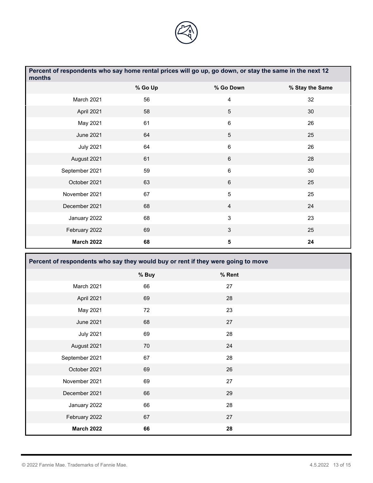

| Percent of respondents who say home rental prices will go up, go down, or stay the same in the next 12<br>months |         |                         |                 |  |  |
|------------------------------------------------------------------------------------------------------------------|---------|-------------------------|-----------------|--|--|
|                                                                                                                  | % Go Up | % Go Down               | % Stay the Same |  |  |
| March 2021                                                                                                       | 56      | $\boldsymbol{4}$        | 32              |  |  |
| April 2021                                                                                                       | 58      | $\sqrt{5}$              | 30              |  |  |
| May 2021                                                                                                         | 61      | $\,6\,$                 | 26              |  |  |
| <b>June 2021</b>                                                                                                 | 64      | $\sqrt{5}$              | 25              |  |  |
| <b>July 2021</b>                                                                                                 | 64      | $\,6\,$                 | 26              |  |  |
| August 2021                                                                                                      | 61      | $6\phantom{1}$          | 28              |  |  |
| September 2021                                                                                                   | 59      | $\,6\,$                 | 30              |  |  |
| October 2021                                                                                                     | 63      | $\,6\,$                 | 25              |  |  |
| November 2021                                                                                                    | 67      | $\overline{5}$          | 25              |  |  |
| December 2021                                                                                                    | 68      | $\overline{4}$          | 24              |  |  |
| January 2022                                                                                                     | 68      | $\mathbf{3}$            | 23              |  |  |
| February 2022                                                                                                    | 69      | $\mathsf 3$             | 25              |  |  |
| <b>March 2022</b>                                                                                                | 68      | $\overline{\mathbf{5}}$ | 24              |  |  |
|                                                                                                                  |         |                         |                 |  |  |

| Percent of respondents who say they would buy or rent if they were going to move |       |        |  |  |  |
|----------------------------------------------------------------------------------|-------|--------|--|--|--|
|                                                                                  | % Buy | % Rent |  |  |  |
| March 2021                                                                       | 66    | 27     |  |  |  |
| April 2021                                                                       | 69    | 28     |  |  |  |
| May 2021                                                                         | 72    | 23     |  |  |  |
| <b>June 2021</b>                                                                 | 68    | 27     |  |  |  |
| <b>July 2021</b>                                                                 | 69    | 28     |  |  |  |
| August 2021                                                                      | 70    | 24     |  |  |  |
| September 2021                                                                   | 67    | 28     |  |  |  |
| October 2021                                                                     | 69    | 26     |  |  |  |
| November 2021                                                                    | 69    | 27     |  |  |  |
| December 2021                                                                    | 66    | 29     |  |  |  |
| January 2022                                                                     | 66    | 28     |  |  |  |
| February 2022                                                                    | 67    | 27     |  |  |  |
| <b>March 2022</b>                                                                | 66    | 28     |  |  |  |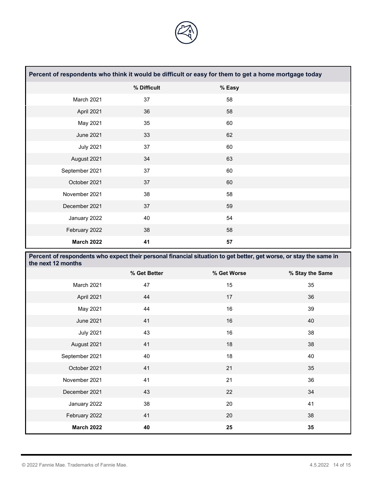

| Percent of respondents who think it would be difficult or easy for them to get a home mortgage today |             |            |  |  |  |
|------------------------------------------------------------------------------------------------------|-------------|------------|--|--|--|
|                                                                                                      | % Difficult | % Easy     |  |  |  |
| March 2021                                                                                           | 37          | 58         |  |  |  |
| April 2021                                                                                           | 36          | 58         |  |  |  |
| May 2021                                                                                             | 35          | 60         |  |  |  |
| <b>June 2021</b>                                                                                     | 33          | 62         |  |  |  |
| <b>July 2021</b>                                                                                     | 37          | 60         |  |  |  |
| August 2021                                                                                          | 34          | 63         |  |  |  |
| September 2021                                                                                       | 37          | 60         |  |  |  |
| October 2021                                                                                         | 37          | 60         |  |  |  |
| November 2021                                                                                        | 38          | 58         |  |  |  |
| December 2021                                                                                        | 37          | 59         |  |  |  |
| January 2022                                                                                         | 40          | 54         |  |  |  |
| February 2022                                                                                        | 38          | 58         |  |  |  |
| <b>March 2022</b>                                                                                    | 41          | ${\bf 57}$ |  |  |  |

| Percent of respondents who expect their personal financial situation to get better, get worse, or stay the same in<br>the next 12 months |              |             |                 |  |  |
|------------------------------------------------------------------------------------------------------------------------------------------|--------------|-------------|-----------------|--|--|
|                                                                                                                                          | % Get Better | % Get Worse | % Stay the Same |  |  |
| March 2021                                                                                                                               | 47           | 15          | 35              |  |  |
| April 2021                                                                                                                               | 44           | 17          | 36              |  |  |
| May 2021                                                                                                                                 | 44           | 16          | 39              |  |  |
| <b>June 2021</b>                                                                                                                         | 41           | 16          | 40              |  |  |
| <b>July 2021</b>                                                                                                                         | 43           | 16          | 38              |  |  |
| August 2021                                                                                                                              | 41           | 18          | 38              |  |  |
| September 2021                                                                                                                           | 40           | 18          | 40              |  |  |
| October 2021                                                                                                                             | 41           | 21          | 35              |  |  |
| November 2021                                                                                                                            | 41           | 21          | 36              |  |  |
| December 2021                                                                                                                            | 43           | 22          | 34              |  |  |
| January 2022                                                                                                                             | 38           | 20          | 41              |  |  |
| February 2022                                                                                                                            | 41           | 20          | 38              |  |  |
| <b>March 2022</b>                                                                                                                        | 40           | 25          | 35              |  |  |